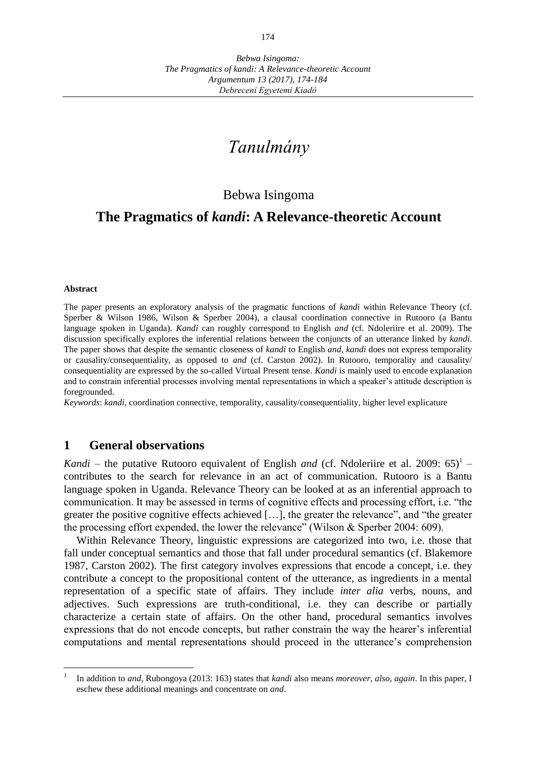# *Tanulmány*

## Bebwa Isingoma

## **The Pragmatics of** *kandi***: A Relevance-theoretic Account**

#### **Abstract**

 $\overline{a}$ 

The paper presents an exploratory analysis of the pragmatic functions of *kandi* within Relevance Theory (cf. Sperber & Wilson 1986, Wilson & Sperber 2004), a clausal coordination connective in Rutooro (a Bantu language spoken in Uganda). *Kandi* can roughly correspond to English *and* (cf. Ndoleriire et al. 2009). The discussion specifically explores the inferential relations between the conjuncts of an utterance linked by *kandi*. The paper shows that despite the semantic closeness of *kandi* to English *and*, *kandi* does not express temporality or causality/consequentiality, as opposed to *and* (cf. Carston 2002). In Rutooro, temporality and causality/ consequentiality are expressed by the so-called Virtual Present tense. *Kandi* is mainly used to encode explanation and to constrain inferential processes involving mental representations in which a speaker's attitude description is foregrounded.

*Keywords*: *kandi*, coordination connective, temporality, causality/consequentiality, higher level explicature

#### **1 General observations**

*Kandi* – the putative Rutooro equivalent of English *and* (cf. Ndoleriire et al. 2009:  $65$ <sup>1</sup> – contributes to the search for relevance in an act of communication. Rutooro is a Bantu language spoken in Uganda. Relevance Theory can be looked at as an inferential approach to communication. It may be assessed in terms of cognitive effects and processing effort, i.e. "the greater the positive cognitive effects achieved […], the greater the relevance", and "the greater the processing effort expended, the lower the relevance" (Wilson & Sperber 2004: 609).

Within Relevance Theory, linguistic expressions are categorized into two, i.e. those that fall under conceptual semantics and those that fall under procedural semantics (cf. Blakemore 1987, Carston 2002). The first category involves expressions that encode a concept, i.e. they contribute a concept to the propositional content of the utterance, as ingredients in a mental representation of a specific state of affairs. They include *inter alia* verbs, nouns, and adjectives. Such expressions are truth-conditional, i.e. they can describe or partially characterize a certain state of affairs. On the other hand, procedural semantics involves expressions that do not encode concepts, but rather constrain the way the hearer's inferential computations and mental representations should proceed in the utterance's comprehension

<sup>1</sup> In addition to *and*, Rubongoya (2013: 163) states that *kandi* also means *moreover, also, again*. In this paper, I eschew these additional meanings and concentrate on *and*.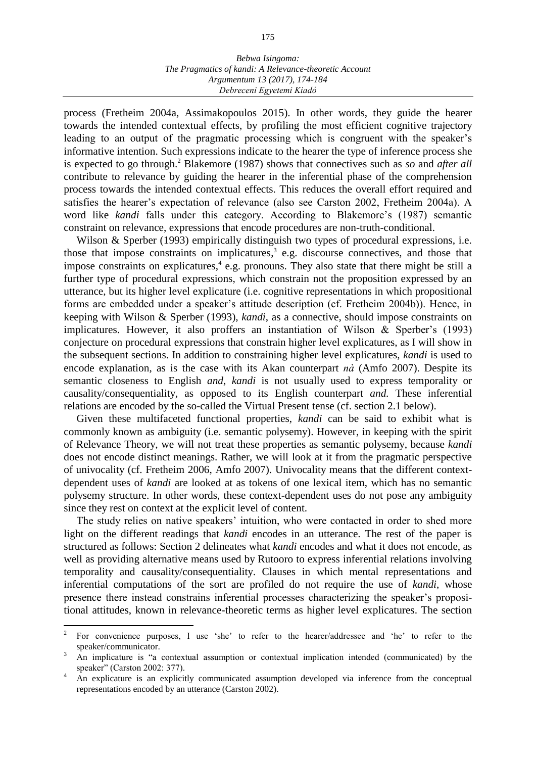#### *Bebwa Isingoma: The Pragmatics of kandi: A Relevance-theoretic Account Argumentum 13 (2017), 174-184 Debreceni Egyetemi Kiadó*

process (Fretheim 2004a, Assimakopoulos 2015). In other words, they guide the hearer towards the intended contextual effects, by profiling the most efficient cognitive trajectory leading to an output of the pragmatic processing which is congruent with the speaker's informative intention. Such expressions indicate to the hearer the type of inference process she is expected to go through.<sup>2</sup> Blakemore (1987) shows that connectives such as *so* and *after all*  contribute to relevance by guiding the hearer in the inferential phase of the comprehension process towards the intended contextual effects. This reduces the overall effort required and satisfies the hearer's expectation of relevance (also see Carston 2002, Fretheim 2004a). A word like *kandi* falls under this category. According to Blakemore's (1987) semantic constraint on relevance, expressions that encode procedures are non-truth-conditional.

Wilson & Sperber (1993) empirically distinguish two types of procedural expressions, i.e. those that impose constraints on implicatures, 3 e.g. discourse connectives, and those that impose constraints on explicatures, 4 e.g. pronouns. They also state that there might be still a further type of procedural expressions, which constrain not the proposition expressed by an utterance, but its higher level explicature (i.e. cognitive representations in which propositional forms are embedded under a speaker's attitude description (cf. Fretheim 2004b)). Hence, in keeping with Wilson & Sperber (1993), *kandi*, as a connective, should impose constraints on implicatures. However, it also proffers an instantiation of Wilson & Sperber's (1993) conjecture on procedural expressions that constrain higher level explicatures, as I will show in the subsequent sections. In addition to constraining higher level explicatures, *kandi* is used to encode explanation, as is the case with its Akan counterpart *nà* (Amfo 2007). Despite its semantic closeness to English *and*, *kandi* is not usually used to express temporality or causality/consequentiality, as opposed to its English counterpart *and.* These inferential relations are encoded by the so-called the Virtual Present tense (cf. section 2.1 below).

Given these multifaceted functional properties, *kandi* can be said to exhibit what is commonly known as ambiguity (i.e. semantic polysemy). However, in keeping with the spirit of Relevance Theory, we will not treat these properties as semantic polysemy, because *kandi* does not encode distinct meanings. Rather, we will look at it from the pragmatic perspective of univocality (cf. Fretheim 2006, Amfo 2007). Univocality means that the different contextdependent uses of *kandi* are looked at as tokens of one lexical item, which has no semantic polysemy structure. In other words, these context-dependent uses do not pose any ambiguity since they rest on context at the explicit level of content.

The study relies on native speakers' intuition, who were contacted in order to shed more light on the different readings that *kandi* encodes in an utterance. The rest of the paper is structured as follows: Section 2 delineates what *kandi* encodes and what it does not encode, as well as providing alternative means used by Rutooro to express inferential relations involving temporality and causality/consequentiality. Clauses in which mental representations and inferential computations of the sort are profiled do not require the use of *kandi*, whose presence there instead constrains inferential processes characterizing the speaker's propositional attitudes, known in relevance-theoretic terms as higher level explicatures. The section

 $\overline{a}$ 

<sup>2</sup> For convenience purposes, I use 'she' to refer to the hearer/addressee and 'he' to refer to the speaker/communicator.

<sup>&</sup>lt;sup>3</sup> An implicature is "a contextual assumption or contextual implication intended (communicated) by the speaker" (Carston 2002: 377).

<sup>&</sup>lt;sup>4</sup> An explicature is an explicitly communicated assumption developed via inference from the conceptual representations encoded by an utterance (Carston 2002).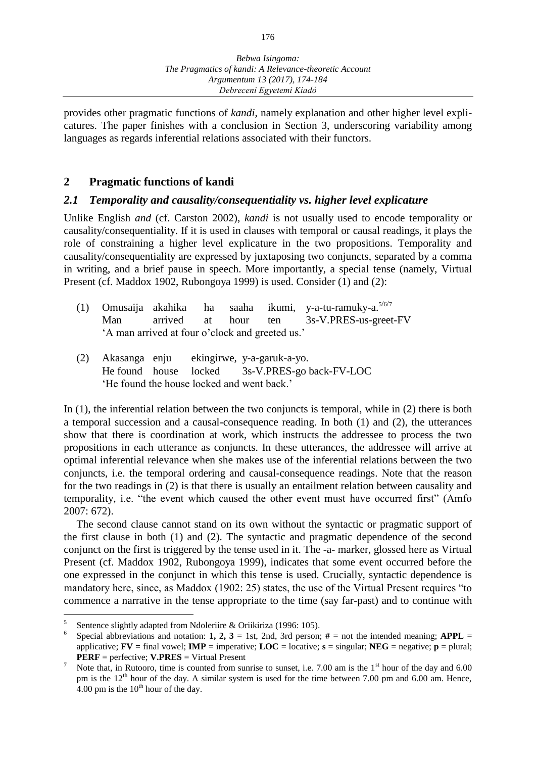provides other pragmatic functions of *kandi*, namely explanation and other higher level explicatures. The paper finishes with a conclusion in Section 3, underscoring variability among languages as regards inferential relations associated with their functors.

## **2 Pragmatic functions of kandi**

#### *2.1 Temporality and causality/consequentiality vs. higher level explicature*

Unlike English *and* (cf. Carston 2002), *kandi* is not usually used to encode temporality or causality/consequentiality. If it is used in clauses with temporal or causal readings, it plays the role of constraining a higher level explicature in the two propositions. Temporality and causality/consequentiality are expressed by juxtaposing two conjuncts, separated by a comma in writing, and a brief pause in speech. More importantly, a special tense (namely, Virtual Present (cf. Maddox 1902, Rubongoya 1999) is used. Consider (1) and (2):

|                                                 |  |  |  |  | (1) Omusaija akahika ha saaha ikumi, y-a-tu-ramuky-a. <sup>5/6/7</sup> |
|-------------------------------------------------|--|--|--|--|------------------------------------------------------------------------|
|                                                 |  |  |  |  | Man arrived at hour ten 3s-V.PRES-us-greet-FV                          |
| 'A man arrived at four o'clock and greeted us.' |  |  |  |  |                                                                        |

(2) Akasanga enju ekingirwe, y-a-garuk-a-yo. He found house locked 3s-V.PRES-go back-FV-LOC 'He found the house locked and went back.'

In (1), the inferential relation between the two conjuncts is temporal, while in (2) there is both a temporal succession and a causal-consequence reading. In both (1) and (2), the utterances show that there is coordination at work, which instructs the addressee to process the two propositions in each utterance as conjuncts. In these utterances, the addressee will arrive at optimal inferential relevance when she makes use of the inferential relations between the two conjuncts, i.e. the temporal ordering and causal-consequence readings. Note that the reason for the two readings in (2) is that there is usually an entailment relation between causality and temporality, i.e. "the event which caused the other event must have occurred first" (Amfo 2007: 672).

The second clause cannot stand on its own without the syntactic or pragmatic support of the first clause in both (1) and (2). The syntactic and pragmatic dependence of the second conjunct on the first is triggered by the tense used in it. The -a- marker, glossed here as Virtual Present (cf. Maddox 1902, Rubongoya 1999), indicates that some event occurred before the one expressed in the conjunct in which this tense is used. Crucially, syntactic dependence is mandatory here, since, as Maddox (1902: 25) states, the use of the Virtual Present requires "to commence a narrative in the tense appropriate to the time (say far-past) and to continue with

 $\overline{a}$ 

<sup>5</sup> Sentence slightly adapted from Ndoleriire & Oriikiriza (1996: 105).

<sup>6</sup> Special abbreviations and notation: **1, 2, 3** = 1st, 2nd, 3rd person;  $#$  = not the intended meaning; **APPL** = applicative;  $\bf{FV}$  = final vowel;  $\bf{IMP}$  = imperative;  $\bf{LOC}$  = locative;  $\bf{s}$  = singular;  $\bf{NEG}$  = negative;  $\bf{p}$  = plural; **PERF** = perfective; **V.PRES** = Virtual Present

<sup>&</sup>lt;sup>7</sup> Note that, in Rutooro, time is counted from sunrise to sunset, i.e. 7.00 am is the  $1<sup>st</sup>$  hour of the day and 6.00 pm is the 12<sup>th</sup> hour of the day. A similar system is used for the time between 7.00 pm and 6.00 am. Hence, 4.00 pm is the  $10^{th}$  hour of the day.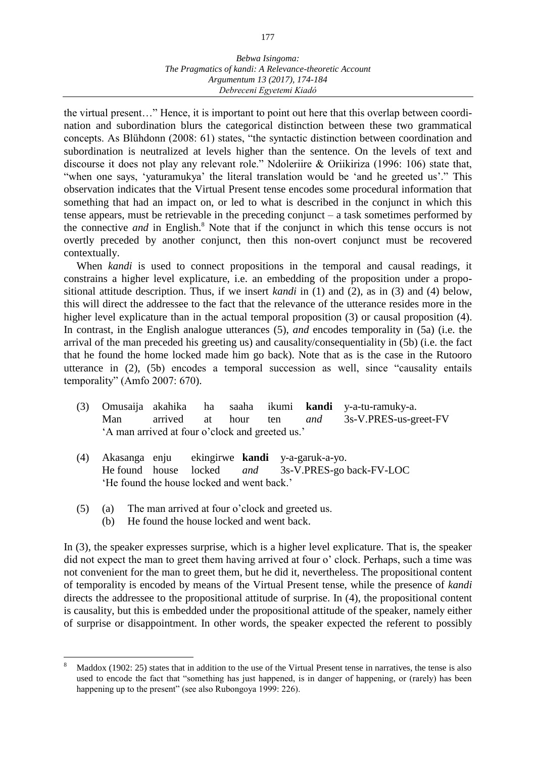#### *Bebwa Isingoma: The Pragmatics of kandi: A Relevance-theoretic Account Argumentum 13 (2017), 174-184 Debreceni Egyetemi Kiadó*

the virtual present…" Hence, it is important to point out here that this overlap between coordination and subordination blurs the categorical distinction between these two grammatical concepts. As Blühdonn (2008: 61) states, "the syntactic distinction between coordination and subordination is neutralized at levels higher than the sentence. On the levels of text and discourse it does not play any relevant role." Ndoleriire & Oriikiriza (1996: 106) state that, "when one says, 'yaturamukya' the literal translation would be 'and he greeted us'." This observation indicates that the Virtual Present tense encodes some procedural information that something that had an impact on, or led to what is described in the conjunct in which this tense appears, must be retrievable in the preceding conjunct – a task sometimes performed by the connective *and* in English.<sup>8</sup> Note that if the conjunct in which this tense occurs is not overtly preceded by another conjunct, then this non-overt conjunct must be recovered contextually.

When *kandi* is used to connect propositions in the temporal and causal readings, it constrains a higher level explicature, i.e. an embedding of the proposition under a propositional attitude description. Thus, if we insert *kandi* in (1) and (2), as in (3) and (4) below, this will direct the addressee to the fact that the relevance of the utterance resides more in the higher level explicature than in the actual temporal proposition (3) or causal proposition (4). In contrast, in the English analogue utterances (5), *and* encodes temporality in (5a) (i.e. the arrival of the man preceded his greeting us) and causality/consequentiality in (5b) (i.e. the fact that he found the home locked made him go back). Note that as is the case in the Rutooro utterance in (2), (5b) encodes a temporal succession as well, since "causality entails temporality" (Amfo 2007: 670).

- (3) Omusaija akahika ha saaha ikumi **kandi** y-a-tu-ramuky-a. Man arrived at hour ten *and* 3s-V.PRES-us-greet-FV 'A man arrived at four o'clock and greeted us.'
- (4) Akasanga enju ekingirwe **kandi** y-a-garuk-a-yo. He found house locked *and* 3s-V.PRES-go back-FV-LOC 'He found the house locked and went back.'
- (5) (a) The man arrived at four o'clock and greeted us.
	- (b) He found the house locked and went back.

 $\overline{a}$ 

In (3), the speaker expresses surprise, which is a higher level explicature. That is, the speaker did not expect the man to greet them having arrived at four o' clock. Perhaps, such a time was not convenient for the man to greet them, but he did it, nevertheless. The propositional content of temporality is encoded by means of the Virtual Present tense, while the presence of *kandi* directs the addressee to the propositional attitude of surprise. In (4), the propositional content is causality, but this is embedded under the propositional attitude of the speaker, namely either of surprise or disappointment. In other words, the speaker expected the referent to possibly

Maddox (1902: 25) states that in addition to the use of the Virtual Present tense in narratives, the tense is also used to encode the fact that "something has just happened, is in danger of happening, or (rarely) has been happening up to the present" (see also Rubongoya 1999: 226).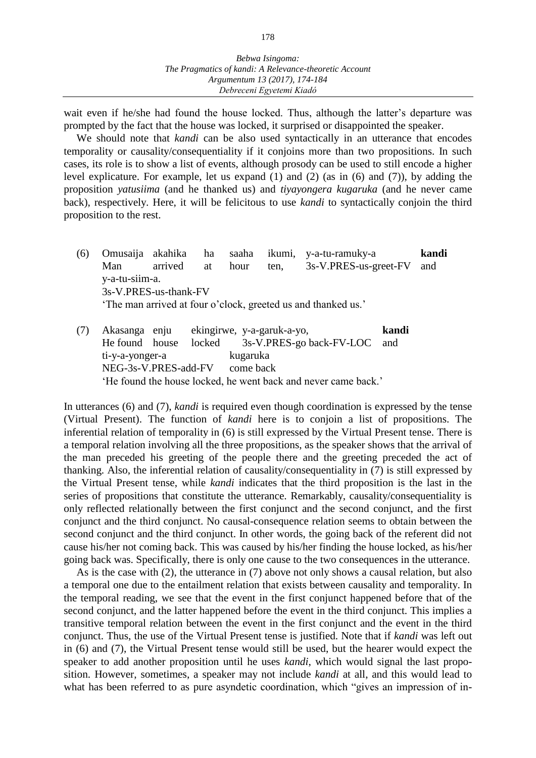wait even if he/she had found the house locked. Thus, although the latter's departure was prompted by the fact that the house was locked, it surprised or disappointed the speaker.

We should note that *kandi* can be also used syntactically in an utterance that encodes temporality or causality/consequentiality if it conjoins more than two propositions. In such cases, its role is to show a list of events, although prosody can be used to still encode a higher level explicature. For example, let us expand (1) and (2) (as in (6) and (7)), by adding the proposition *yatusiima* (and he thanked us) and *tiyayongera kugaruka* (and he never came back), respectively. Here, it will be felicitous to use *kandi* to syntactically conjoin the third proposition to the rest.

- (6) Omusaija akahika ha saaha ikumi, y-a-tu-ramuky-a **kandi** Man arrived at hour ten, 3s-V.PRES-us-greet-FV and y-a-tu-siim-a. 3s-V.PRES-us-thank-FV 'The man arrived at four o'clock, greeted us and thanked us.'
- (7) Akasanga enju ekingirwe, y-a-garuk-a-yo, **kandi** He found house locked 3s-V.PRES-go back-FV-LOC and ti-y-a-yonger-a kugaruka NEG-3s-V.PRES-add-FV come back 'He found the house locked, he went back and never came back.'

In utterances (6) and (7), *kandi* is required even though coordination is expressed by the tense (Virtual Present). The function of *kandi* here is to conjoin a list of propositions. The inferential relation of temporality in (6) is still expressed by the Virtual Present tense. There is a temporal relation involving all the three propositions, as the speaker shows that the arrival of the man preceded his greeting of the people there and the greeting preceded the act of thanking. Also, the inferential relation of causality/consequentiality in (7) is still expressed by the Virtual Present tense, while *kandi* indicates that the third proposition is the last in the series of propositions that constitute the utterance. Remarkably, causality/consequentiality is only reflected relationally between the first conjunct and the second conjunct, and the first conjunct and the third conjunct. No causal-consequence relation seems to obtain between the second conjunct and the third conjunct. In other words, the going back of the referent did not cause his/her not coming back. This was caused by his/her finding the house locked, as his/her going back was. Specifically, there is only one cause to the two consequences in the utterance.

As is the case with (2), the utterance in (7) above not only shows a causal relation, but also a temporal one due to the entailment relation that exists between causality and temporality. In the temporal reading, we see that the event in the first conjunct happened before that of the second conjunct, and the latter happened before the event in the third conjunct. This implies a transitive temporal relation between the event in the first conjunct and the event in the third conjunct. Thus, the use of the Virtual Present tense is justified. Note that if *kandi* was left out in (6) and (7), the Virtual Present tense would still be used, but the hearer would expect the speaker to add another proposition until he uses *kandi*, which would signal the last proposition. However, sometimes, a speaker may not include *kandi* at all, and this would lead to what has been referred to as pure asyndetic coordination, which "gives an impression of in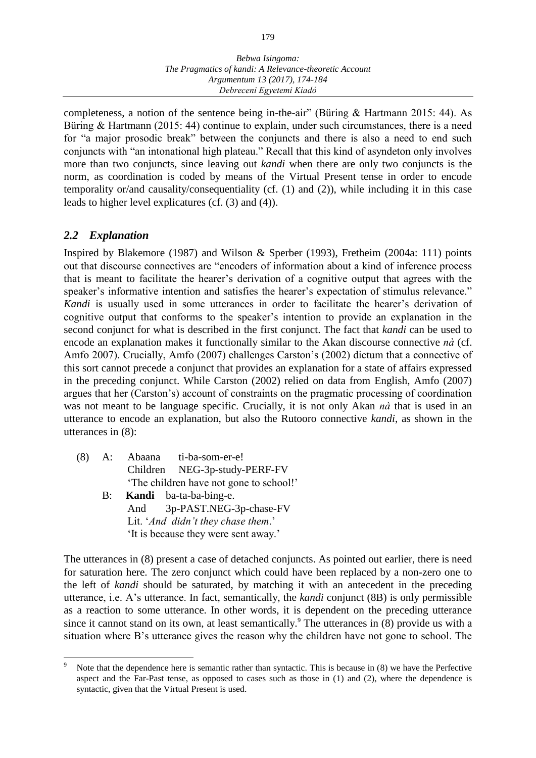completeness, a notion of the sentence being in-the-air" (Büring & Hartmann 2015: 44). As Büring & Hartmann (2015: 44) continue to explain, under such circumstances, there is a need for "a major prosodic break" between the conjuncts and there is also a need to end such conjuncts with "an intonational high plateau." Recall that this kind of asyndeton only involves more than two conjuncts, since leaving out *kandi* when there are only two conjuncts is the norm, as coordination is coded by means of the Virtual Present tense in order to encode temporality or/and causality/consequentiality (cf. (1) and (2)), while including it in this case leads to higher level explicatures (cf. (3) and (4)).

## *2.2 Explanation*

 $\overline{a}$ 

Inspired by Blakemore (1987) and Wilson & Sperber (1993), Fretheim (2004a: 111) points out that discourse connectives are "encoders of information about a kind of inference process that is meant to facilitate the hearer's derivation of a cognitive output that agrees with the speaker's informative intention and satisfies the hearer's expectation of stimulus relevance." *Kandi* is usually used in some utterances in order to facilitate the hearer's derivation of cognitive output that conforms to the speaker's intention to provide an explanation in the second conjunct for what is described in the first conjunct. The fact that *kandi* can be used to encode an explanation makes it functionally similar to the Akan discourse connective *nà* (cf. Amfo 2007). Crucially, Amfo (2007) challenges Carston's (2002) dictum that a connective of this sort cannot precede a conjunct that provides an explanation for a state of affairs expressed in the preceding conjunct. While Carston (2002) relied on data from English, Amfo (2007) argues that her (Carston's) account of constraints on the pragmatic processing of coordination was not meant to be language specific. Crucially, it is not only Akan *nà* that is used in an utterance to encode an explanation, but also the Rutooro connective *kandi*, as shown in the utterances in (8):

- (8) A: Abaana ti-ba-som-er-e! Children NEG-3p-study-PERF-FV 'The children have not gone to school!'
	- B: **Kandi** ba-ta-ba-bing-e. And 3p-PAST.NEG-3p-chase-FV Lit. '*And didn't they chase them*.' 'It is because they were sent away.'

The utterances in (8) present a case of detached conjuncts. As pointed out earlier, there is need for saturation here. The zero conjunct which could have been replaced by a non-zero one to the left of *kandi* should be saturated, by matching it with an antecedent in the preceding utterance, i.e. A's utterance. In fact, semantically, the *kandi* conjunct (8B) is only permissible as a reaction to some utterance. In other words, it is dependent on the preceding utterance since it cannot stand on its own, at least semantically.<sup>9</sup> The utterances in  $(8)$  provide us with a situation where B's utterance gives the reason why the children have not gone to school. The

Note that the dependence here is semantic rather than syntactic. This is because in (8) we have the Perfective aspect and the Far-Past tense, as opposed to cases such as those in (1) and (2), where the dependence is syntactic, given that the Virtual Present is used.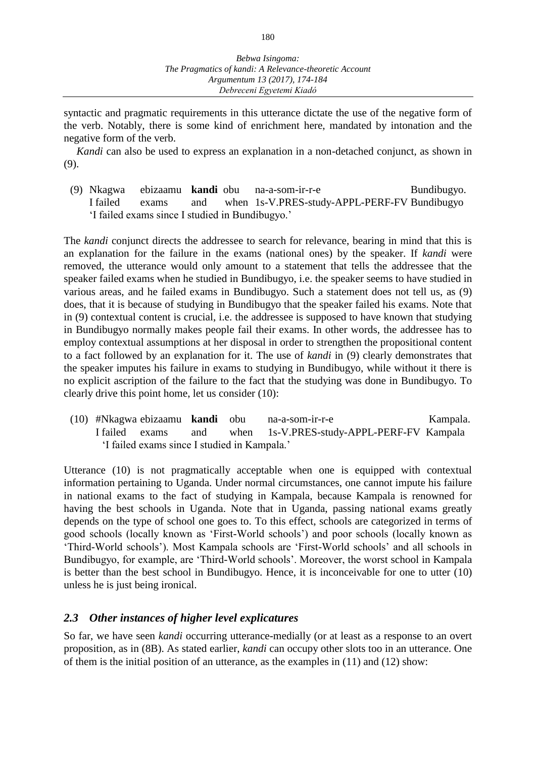syntactic and pragmatic requirements in this utterance dictate the use of the negative form of the verb. Notably, there is some kind of enrichment here, mandated by intonation and the negative form of the verb.

*Kandi* can also be used to express an explanation in a non-detached conjunct, as shown in (9).

(9) Nkagwa ebizaamu **kandi** obu na-a-som-ir-r-e Bundibugyo. I failed exams and when 1s-V.PRES-study-APPL-PERF-FV Bundibugyo 'I failed exams since I studied in Bundibugyo.'

The *kandi* conjunct directs the addressee to search for relevance, bearing in mind that this is an explanation for the failure in the exams (national ones) by the speaker. If *kandi* were removed, the utterance would only amount to a statement that tells the addressee that the speaker failed exams when he studied in Bundibugyo, i.e. the speaker seems to have studied in various areas, and he failed exams in Bundibugyo. Such a statement does not tell us, as (9) does, that it is because of studying in Bundibugyo that the speaker failed his exams. Note that in (9) contextual content is crucial, i.e. the addressee is supposed to have known that studying in Bundibugyo normally makes people fail their exams. In other words, the addressee has to employ contextual assumptions at her disposal in order to strengthen the propositional content to a fact followed by an explanation for it. The use of *kandi* in (9) clearly demonstrates that the speaker imputes his failure in exams to studying in Bundibugyo, while without it there is no explicit ascription of the failure to the fact that the studying was done in Bundibugyo. To clearly drive this point home, let us consider (10):

(10) #Nkagwa ebizaamu **kandi** obu na-a-som-ir-r-e Kampala. I failed exams and when 1s-V.PRES-study-APPL-PERF-FV Kampala 'I failed exams since I studied in Kampala.'

Utterance (10) is not pragmatically acceptable when one is equipped with contextual information pertaining to Uganda. Under normal circumstances, one cannot impute his failure in national exams to the fact of studying in Kampala, because Kampala is renowned for having the best schools in Uganda. Note that in Uganda, passing national exams greatly depends on the type of school one goes to. To this effect, schools are categorized in terms of good schools (locally known as 'First-World schools') and poor schools (locally known as 'Third-World schools'). Most Kampala schools are 'First-World schools' and all schools in Bundibugyo, for example, are 'Third-World schools'. Moreover, the worst school in Kampala is better than the best school in Bundibugyo. Hence, it is inconceivable for one to utter (10) unless he is just being ironical.

#### *2.3 Other instances of higher level explicatures*

So far, we have seen *kandi* occurring utterance-medially (or at least as a response to an overt proposition, as in (8B). As stated earlier, *kandi* can occupy other slots too in an utterance. One of them is the initial position of an utterance, as the examples in (11) and (12) show: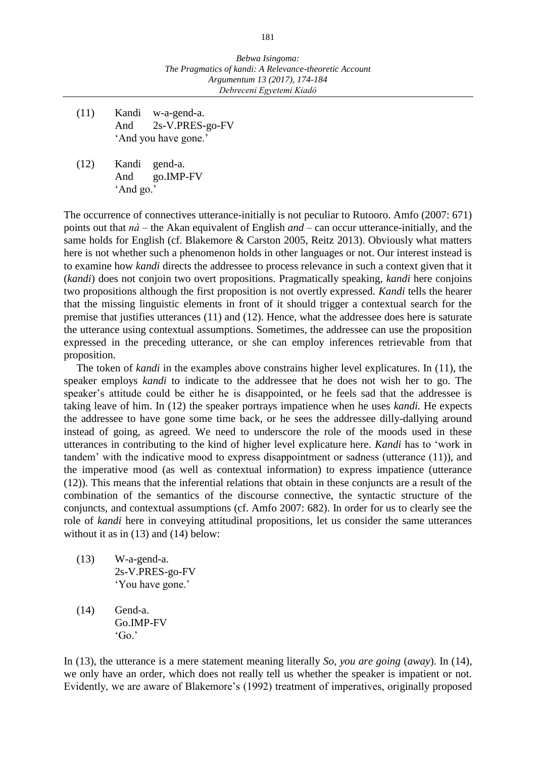- (11) Kandi w-a-gend-a. And 2s-V.PRES-go-FV 'And you have gone.'
- (12) Kandi gend-a. And go.IMP-FV 'And go.'

The occurrence of connectives utterance-initially is not peculiar to Rutooro. Amfo (2007: 671) points out that *nà* – the Akan equivalent of English *and* – can occur utterance-initially, and the same holds for English (cf. Blakemore & Carston 2005, Reitz 2013). Obviously what matters here is not whether such a phenomenon holds in other languages or not. Our interest instead is to examine how *kandi* directs the addressee to process relevance in such a context given that it (*kandi*) does not conjoin two overt propositions. Pragmatically speaking, *kandi* here conjoins two propositions although the first proposition is not overtly expressed. *Kandi* tells the hearer that the missing linguistic elements in front of it should trigger a contextual search for the premise that justifies utterances (11) and (12). Hence, what the addressee does here is saturate the utterance using contextual assumptions. Sometimes, the addressee can use the proposition expressed in the preceding utterance, or she can employ inferences retrievable from that proposition.

The token of *kandi* in the examples above constrains higher level explicatures. In (11), the speaker employs *kandi* to indicate to the addressee that he does not wish her to go. The speaker's attitude could be either he is disappointed, or he feels sad that the addressee is taking leave of him. In (12) the speaker portrays impatience when he uses *kandi.* He expects the addressee to have gone some time back, or he sees the addressee dilly-dallying around instead of going, as agreed. We need to underscore the role of the moods used in these utterances in contributing to the kind of higher level explicature here. *Kandi* has to 'work in tandem' with the indicative mood to express disappointment or sadness (utterance (11)), and the imperative mood (as well as contextual information) to express impatience (utterance (12)). This means that the inferential relations that obtain in these conjuncts are a result of the combination of the semantics of the discourse connective, the syntactic structure of the conjuncts, and contextual assumptions (cf. Amfo 2007: 682). In order for us to clearly see the role of *kandi* here in conveying attitudinal propositions, let us consider the same utterances without it as in (13) and (14) below:

- (13) W-a-gend-a. 2s-V.PRES-go-FV 'You have gone.'
- (14) Gend-a. Go.IMP-FV  $'Go.'$

In (13), the utterance is a mere statement meaning literally *So, you are going* (*away*). In (14), we only have an order, which does not really tell us whether the speaker is impatient or not. Evidently, we are aware of Blakemore's (1992) treatment of imperatives, originally proposed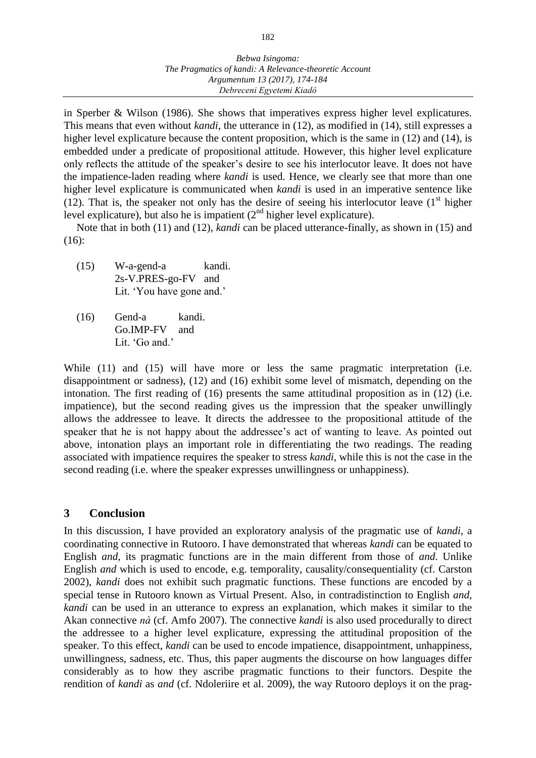in Sperber & Wilson (1986). She shows that imperatives express higher level explicatures. This means that even without *kandi*, the utterance in (12), as modified in (14), still expresses a higher level explicature because the content proposition, which is the same in (12) and (14), is embedded under a predicate of propositional attitude. However, this higher level explicature only reflects the attitude of the speaker's desire to see his interlocutor leave. It does not have the impatience-laden reading where *kandi* is used. Hence, we clearly see that more than one higher level explicature is communicated when *kandi* is used in an imperative sentence like (12). That is, the speaker not only has the desire of seeing his interlocutor leave  $(1<sup>st</sup>$  higher level explicature), but also he is impatient  $(2<sup>nd</sup>$  higher level explicature).

Note that in both (11) and (12), *kandi* can be placed utterance-finally, as shown in (15) and (16):

- (15) W-a-gend-a kandi. 2s-V.PRES-go-FV and Lit. 'You have gone and.'
- (16) Gend-a kandi. Go.IMP-FV and Lit. 'Go and.'

While (11) and (15) will have more or less the same pragmatic interpretation (i.e. disappointment or sadness), (12) and (16) exhibit some level of mismatch, depending on the intonation. The first reading of (16) presents the same attitudinal proposition as in (12) (i.e. impatience), but the second reading gives us the impression that the speaker unwillingly allows the addressee to leave. It directs the addressee to the propositional attitude of the speaker that he is not happy about the addressee's act of wanting to leave. As pointed out above, intonation plays an important role in differentiating the two readings. The reading associated with impatience requires the speaker to stress *kandi*, while this is not the case in the second reading (i.e. where the speaker expresses unwillingness or unhappiness).

#### **3 Conclusion**

In this discussion, I have provided an exploratory analysis of the pragmatic use of *kandi*, a coordinating connective in Rutooro. I have demonstrated that whereas *kandi* can be equated to English *and*, its pragmatic functions are in the main different from those of *and*. Unlike English *and* which is used to encode, e.g. temporality, causality/consequentiality (cf. Carston 2002), *kandi* does not exhibit such pragmatic functions. These functions are encoded by a special tense in Rutooro known as Virtual Present. Also, in contradistinction to English *and*, *kandi* can be used in an utterance to express an explanation, which makes it similar to the Akan connective *nà* (cf. Amfo 2007). The connective *kandi* is also used procedurally to direct the addressee to a higher level explicature, expressing the attitudinal proposition of the speaker. To this effect, *kandi* can be used to encode impatience, disappointment, unhappiness, unwillingness, sadness, etc. Thus, this paper augments the discourse on how languages differ considerably as to how they ascribe pragmatic functions to their functors. Despite the rendition of *kandi* as *and* (cf. Ndoleriire et al. 2009), the way Rutooro deploys it on the prag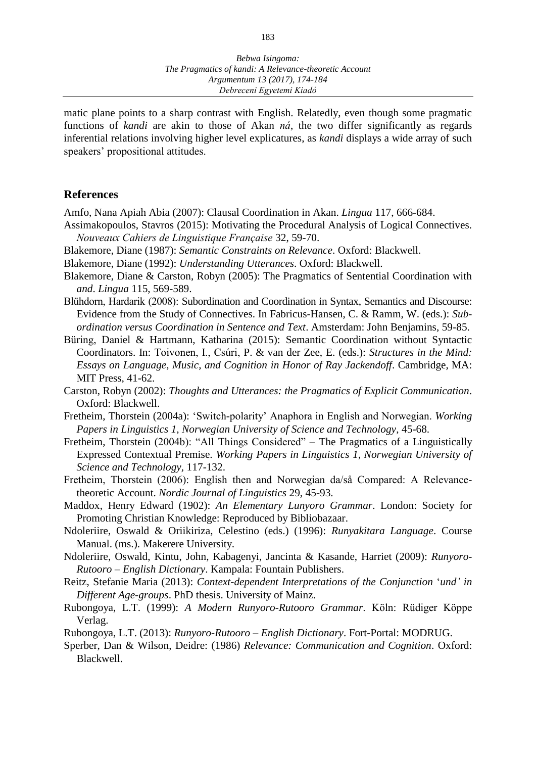matic plane points to a sharp contrast with English. Relatedly, even though some pragmatic functions of *kandi* are akin to those of Akan *ná*, the two differ significantly as regards inferential relations involving higher level explicatures, as *kandi* displays a wide array of such speakers' propositional attitudes.

#### **References**

Amfo, Nana Apiah Abia (2007): Clausal Coordination in Akan. *Lingua* 117, 666-684.

- Assimakopoulos, Stavros (2015): Motivating the Procedural Analysis of Logical Connectives. *Nouveaux Cahiers de Linguistique Française* 32, 59-70.
- Blakemore, Diane (1987): *Semantic Constraints on Relevance*. Oxford: Blackwell.
- Blakemore, Diane (1992): *Understanding Utterances*. Oxford: Blackwell.
- Blakemore, Diane & Carston, Robyn (2005): The Pragmatics of Sentential Coordination with *and*. *Lingua* 115, 569-589.
- Blühdorn, Hardarik (2008): Subordination and Coordination in Syntax, Semantics and Discourse: Evidence from the Study of Connectives. In Fabricus-Hansen, C. & Ramm, W. (eds.): *Subordination versus Coordination in Sentence and Text*. Amsterdam: John Benjamins, 59-85.
- Büring, Daniel & Hartmann, Katharina (2015): Semantic Coordination without Syntactic Coordinators. In: Toivonen, I., Csúri, P. & van der Zee, E. (eds.): *Structures in the Mind: Essays on Language, Music, and Cognition in Honor of Ray Jackendoff*. Cambridge, MA: MIT Press, 41-62.
- Carston, Robyn (2002): *Thoughts and Utterances: the Pragmatics of Explicit Communication*. Oxford: Blackwell.
- Fretheim, Thorstein (2004a): 'Switch-polarity' Anaphora in English and Norwegian. *Working Papers in Linguistics 1, Norwegian University of Science and Technology*, 45-68.
- Fretheim, Thorstein (2004b): "All Things Considered" The Pragmatics of a Linguistically Expressed Contextual Premise. *Working Papers in Linguistics 1, Norwegian University of Science and Technology,* 117-132.
- Fretheim, Thorstein (2006): English then and Norwegian da/så Compared: A Relevancetheoretic Account. *Nordic Journal of Linguistics* 29, 45-93.
- Maddox, Henry Edward (1902): *An Elementary Lunyoro Grammar*. London: Society for Promoting Christian Knowledge: Reproduced by Bibliobazaar.
- Ndoleriire, Oswald & Oriikiriza, Celestino (eds.) (1996): *Runyakitara Language*. Course Manual. (ms.). Makerere University.
- Ndoleriire, Oswald, Kintu, John, Kabagenyi, Jancinta & Kasande, Harriet (2009): *Runyoro-Rutooro – English Dictionary*. Kampala: Fountain Publishers.
- Reitz, Stefanie Maria (2013): *Context-dependent Interpretations of the Conjunction* '*und' in Different Age-groups*. PhD thesis. University of Mainz.
- Rubongoya, L.T. (1999): *A Modern Runyoro-Rutooro Grammar*. Köln: Rüdiger Köppe Verlag.
- Rubongoya, L.T. (2013): *Runyoro-Rutooro – English Dictionary*. Fort-Portal: MODRUG.
- Sperber, Dan & Wilson, Deidre: (1986) *Relevance: Communication and Cognition*. Oxford: Blackwell.